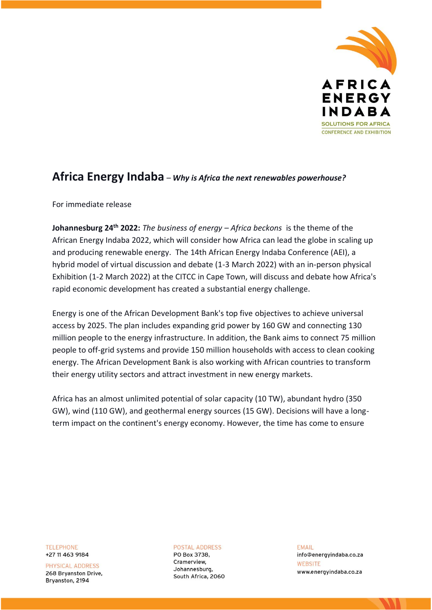

## **Africa Energy Indaba** – *Why is Africa the next renewables powerhouse?*

For immediate release

**Johannesburg 24th 2022:** *The business of energy – Africa beckons* is the theme of the African Energy Indaba 2022, which will consider how Africa can lead the globe in scaling up and producing renewable energy. The 14th African Energy Indaba Conference (AEI), a hybrid model of virtual discussion and debate (1-3 March 2022) with an in-person physical Exhibition (1-2 March 2022) at the CITCC in Cape Town, will discuss and debate how Africa's rapid economic development has created a substantial energy challenge.

Energy is one of the African Development Bank's top five objectives to achieve universal access by 2025. The plan includes expanding grid power by 160 GW and connecting 130 million people to the energy infrastructure. In addition, the Bank aims to connect 75 million people to off-grid systems and provide 150 million households with access to clean cooking energy. The African Development Bank is also working with African countries to transform their energy utility sectors and attract investment in new energy markets.

Africa has an almost unlimited potential of solar capacity (10 TW), abundant hydro (350 GW), wind (110 GW), and geothermal energy sources (15 GW). Decisions will have a longterm impact on the continent's energy economy. However, the time has come to ensure

**TELEPHONE** +27 11 463 9184

PHYSICAL ADDRESS 268 Bryanston Drive, Bryanston, 2194

**POSTAL ADDRESS** PO Box 3738, Cramerview. Johannesburg, South Africa, 2060 **FMAIL** info@energyindaba.co.za WEBSITE www.energyindaba.co.za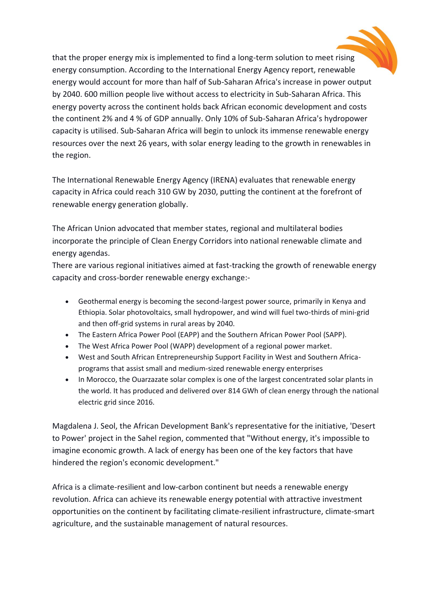that the proper energy mix is implemented to find a long-term solution to meet rising energy consumption. According to the International Energy Agency report, renewable energy would account for more than half of Sub-Saharan Africa's increase in power output by 2040. 600 million people live without access to electricity in Sub-Saharan Africa. This energy poverty across the continent holds back African economic development and costs the continent 2% and 4 % of GDP annually. Only 10% of Sub-Saharan Africa's hydropower capacity is utilised. Sub-Saharan Africa will begin to unlock its immense renewable energy resources over the next 26 years, with solar energy leading to the growth in renewables in the region.

The International Renewable Energy Agency (IRENA) evaluates that renewable energy capacity in Africa could reach 310 GW by 2030, putting the continent at the forefront of renewable energy generation globally.

The African Union advocated that member states, regional and multilateral bodies incorporate the principle of Clean Energy Corridors into national renewable climate and energy agendas.

There are various regional initiatives aimed at fast-tracking the growth of renewable energy capacity and cross-border renewable energy exchange:-

- Geothermal energy is becoming the second-largest power source, primarily in Kenya and Ethiopia. Solar photovoltaics, small hydropower, and wind will fuel two-thirds of mini-grid and then off-grid systems in rural areas by 2040.
- The Eastern Africa Power Pool (EAPP) and the Southern African Power Pool (SAPP).
- The West Africa Power Pool (WAPP) development of a regional power market.
- West and South African Entrepreneurship Support Facility in West and Southern Africaprograms that assist small and medium-sized renewable energy enterprises
- In Morocco, the Ouarzazate solar complex is one of the largest concentrated solar plants in the world. It has produced and delivered over 814 GWh of clean energy through the national electric grid since 2016.

Magdalena J. Seol, the African Development Bank's representative for the initiative, 'Desert to Power' project in the Sahel region, commented that "Without energy, it's impossible to imagine economic growth. A lack of energy has been one of the key factors that have hindered the region's economic development."

Africa is a climate-resilient and low-carbon continent but needs a renewable energy revolution. Africa can achieve its renewable energy potential with attractive investment opportunities on the continent by facilitating climate-resilient infrastructure, climate-smart agriculture, and the sustainable management of natural resources.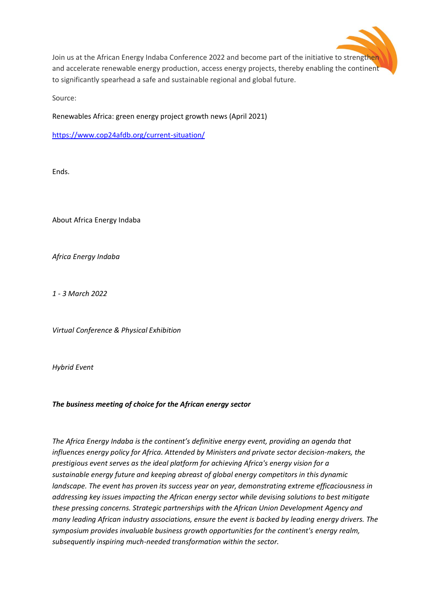

Join us at the African Energy Indaba Conference 2022 and become part of the initiative to strengthen and accelerate renewable energy production, access energy projects, thereby enabling the continent to significantly spearhead a safe and sustainable regional and global future.

Source:

Renewables Africa: green energy project growth news (April 2021)

<https://www.cop24afdb.org/current-situation/>

Ends.

About Africa Energy Indaba

*Africa Energy Indaba*

*1 - 3 March 2022*

*Virtual Conference & Physical Exhibition*

*Hybrid Event*

## *The business meeting of choice for the African energy sector*

*The Africa Energy Indaba is the continent's definitive energy event, providing an agenda that influences energy policy for Africa. Attended by Ministers and private sector decision-makers, the prestigious event serves as the ideal platform for achieving Africa's energy vision for a sustainable energy future and keeping abreast of global energy competitors in this dynamic landscape. The event has proven its success year on year, demonstrating extreme efficaciousness in addressing key issues impacting the African energy sector while devising solutions to best mitigate these pressing concerns. Strategic partnerships with the African Union Development Agency and many leading African industry associations, ensure the event is backed by leading energy drivers. The symposium provides invaluable business growth opportunities for the continent's energy realm, subsequently inspiring much-needed transformation within the sector.*